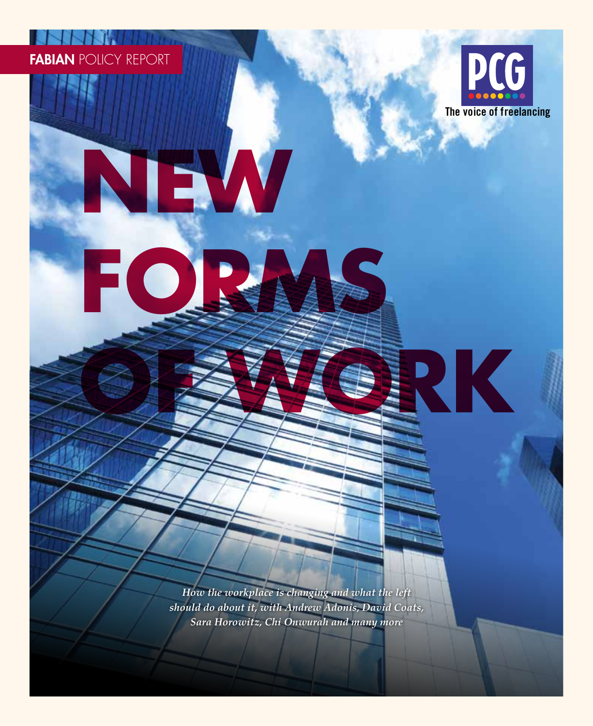# FABIAN POLICY REPORT

**NEW**

**FORMS**



**OF WORK**

*How the workplace is changing and what the left should do about it, with Andrew Adonis, David Coats, Sara Horowitz, Chi Onwurah and many more*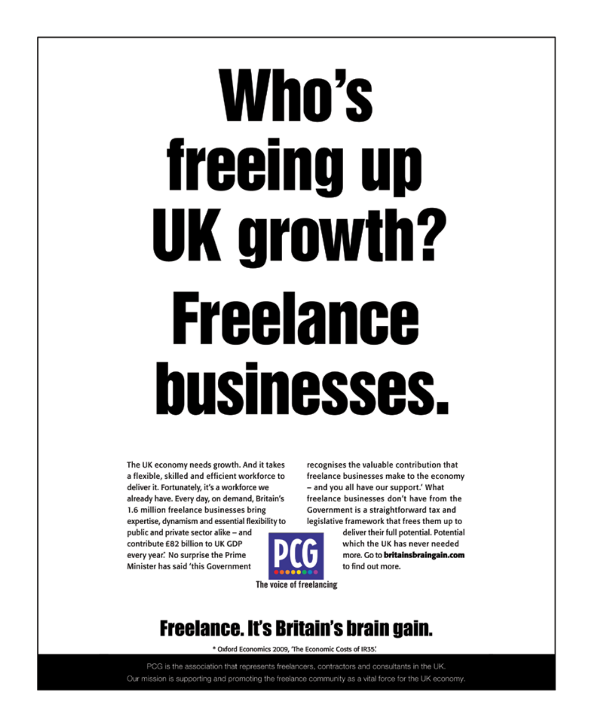# Who's freeing up UK growth? **Freelance** businesses.

The UK economy needs growth. And it takes a flexible, skilled and efficient workforce to deliver it. Fortunately, it's a workforce we already have. Every day, on demand, Britain's 1.6 million freelance businesses bring expertise, dynamism and essential flexibility to

public and private sector alike - and contribute £82 billion to UK GDP every year. No surprise the Prime Minister has said 'this Government



recognises the valuable contribution that freelance businesses make to the economy - and you all have our support.' What freelance businesses don't have from the Government is a straightforward tax and legislative framework that frees them up to

> deliver their full potential. Potential which the UK has never needed more. Go to britainsbraingain.com to find out more.

The voice of freelancing

# **Freelance. It's Britain's brain gain.**

\* Oxford Economics 2009, 'The Economic Costs of IR35'.

PCG is the association that represents freelancers, contractors and consultants in the UK. Our mission is supporting and promoting the freelance community as a vital force for the UK economy.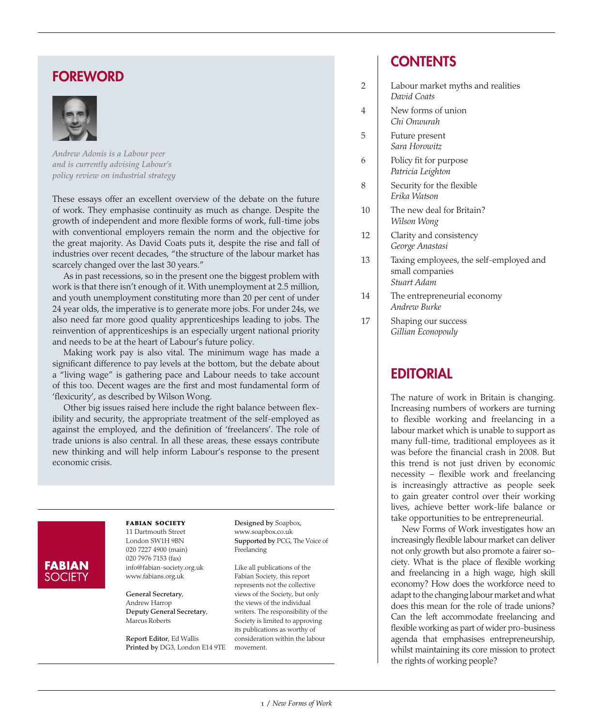### FOREWORD



*Andrew Adonis is a Labour peer and is currently advising Labour's policy review on industrial strategy*

These essays offer an excellent overview of the debate on the future of work. They emphasise continuity as much as change. Despite the growth of independent and more flexible forms of work, full-time jobs with conventional employers remain the norm and the objective for the great majority. As David Coats puts it, despite the rise and fall of industries over recent decades, "the structure of the labour market has scarcely changed over the last 30 years."

As in past recessions, so in the present one the biggest problem with work is that there isn't enough of it. With unemployment at 2.5 million, and youth unemployment constituting more than 20 per cent of under 24 year olds, the imperative is to generate more jobs. For under 24s, we also need far more good quality apprenticeships leading to jobs. The reinvention of apprenticeships is an especially urgent national priority and needs to be at the heart of Labour's future policy.

Making work pay is also vital. The minimum wage has made a significant difference to pay levels at the bottom, but the debate about a "living wage" is gathering pace and Labour needs to take account of this too. Decent wages are the first and most fundamental form of 'flexicurity', as described by Wilson Wong.

Other big issues raised here include the right balance between flexibility and security, the appropriate treatment of the self-employed as against the employed, and the definition of 'freelancers'. The role of trade unions is also central. In all these areas, these essays contribute new thinking and will help inform Labour's response to the present economic crisis.

### **FABIAN SOCIETY**

fabian society

11 Dartmouth Street London SW1H 9BN 020 7227 4900 (main) 020 7976 7153 (fax) info@fabian-society.org.uk www.fabians.org.uk

General Secretary, Andrew Harrop Deputy General Secretary, Marcus Roberts

Report Editor, Ed Wallis Printed by DG3, London E14 9TE movement.

Designed by Soapbox, www.soapbox.co.uk Supported by PCG, The Voice of Freelancing

Like all publications of the Fabian Society, this report represents not the collective views of the Society, but only the views of the individual writers. The responsibility of the Society is limited to approving its publications as worthy of consideration within the labour

### **CONTENTS**

- 2 | Labour market myths and realities *David Coats*
- 4 New forms of union *Chi Onwurah*
- 5 Future present *Sara Horowitz*
- 6 Policy fit for purpose *Patricia Leighton*
- 8 Security for the flexible *Erika Watson*
- 10 The new deal for Britain? *Wilson Wong*
- 12 Clarity and consistency *George Anastasi*
- 13 Taxing employees, the self-employed and small companies *Stuart Adam*
- 14 The entrepreneurial economy *Andrew Burke*
- 17 | Shaping our success *Gillian Econopouly*

### **EDITORIAL**

The nature of work in Britain is changing. Increasing numbers of workers are turning to flexible working and freelancing in a labour market which is unable to support as many full-time, traditional employees as it was before the financial crash in 2008. But this trend is not just driven by economic necessity – flexible work and freelancing is increasingly attractive as people seek to gain greater control over their working lives, achieve better work-life balance or take opportunities to be entrepreneurial.

New Forms of Work investigates how an increasingly flexible labour market can deliver not only growth but also promote a fairer society. What is the place of flexible working and freelancing in a high wage, high skill economy? How does the workforce need to adapt to the changing labour market and what does this mean for the role of trade unions? Can the left accommodate freelancing and flexible working as part of wider pro-business agenda that emphasises entrepreneurship, whilst maintaining its core mission to protect the rights of working people?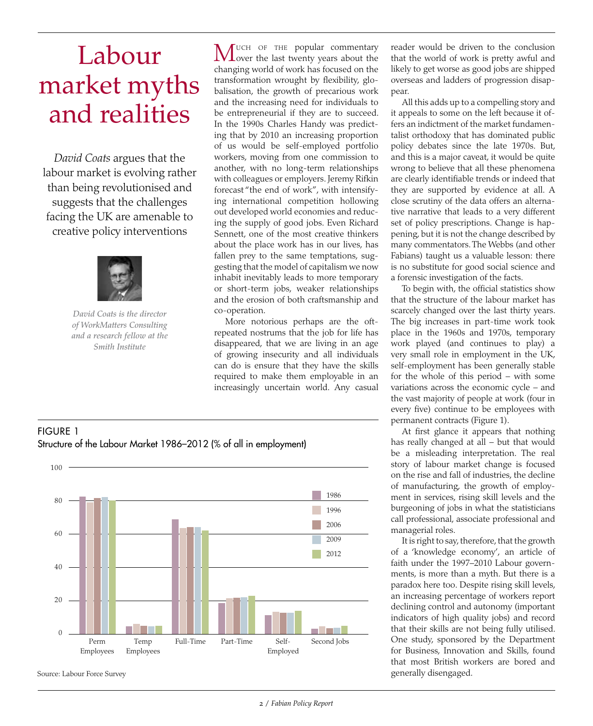# Labour market myths and realities

*David Coats* argues that the labour market is evolving rather than being revolutionised and suggests that the challenges facing the UK are amenable to creative policy interventions



*David Coats is the director of WorkMatters Consulting and a research fellow at the Smith Institute*

**MUCH OF THE popular commentary**<br> **Over the last twenty years about the** changing world of work has focused on the transformation wrought by flexibility, globalisation, the growth of precarious work and the increasing need for individuals to be entrepreneurial if they are to succeed. In the 1990s Charles Handy was predicting that by 2010 an increasing proportion of us would be self-employed portfolio workers, moving from one commission to another, with no long-term relationships with colleagues or employers. Jeremy Rifkin forecast "the end of work", with intensifying international competition hollowing out developed world economies and reducing the supply of good jobs. Even Richard Sennett, one of the most creative thinkers about the place work has in our lives, has fallen prey to the same temptations, suggesting that the model of capitalism we now inhabit inevitably leads to more temporary or short-term jobs, weaker relationships and the erosion of both craftsmanship and co-operation.

More notorious perhaps are the oftrepeated nostrums that the job for life has disappeared, that we are living in an age of growing insecurity and all individuals can do is ensure that they have the skills required to make them employable in an increasingly uncertain world. Any casual



it appeals to some on the left because it offers an indictment of the market fundamentalist orthodoxy that has dominated public policy debates since the late 1970s. But, and this is a major caveat, it would be quite wrong to believe that all these phenomena are clearly identifiable trends or indeed that they are supported by evidence at all. A close scrutiny of the data offers an alternative narrative that leads to a very different set of policy prescriptions. Change is happening, but it is not the change described by many commentators. The Webbs (and other Fabians) taught us a valuable lesson: there is no substitute for good social science and a forensic investigation of the facts.

To begin with, the official statistics show that the structure of the labour market has scarcely changed over the last thirty years. The big increases in part-time work took place in the 1960s and 1970s, temporary work played (and continues to play) a very small role in employment in the UK, self-employment has been generally stable for the whole of this period – with some variations across the economic cycle – and the vast majority of people at work (four in every five) continue to be employees with permanent contracts (Figure 1).

At first glance it appears that nothing has really changed at all – but that would be a misleading interpretation. The real story of labour market change is focused on the rise and fall of industries, the decline of manufacturing, the growth of employment in services, rising skill levels and the burgeoning of jobs in what the statisticians call professional, associate professional and managerial roles.

It is right to say, therefore, that the growth of a 'knowledge economy', an article of faith under the 1997–2010 Labour governments, is more than a myth. But there is a paradox here too. Despite rising skill levels, an increasing percentage of workers report declining control and autonomy (important indicators of high quality jobs) and record that their skills are not being fully utilised. One study, sponsored by the Department for Business, Innovation and Skills, found that most British workers are bored and generally disengaged.

### Figure 1 Structure of the Labour Market 1986–2012 (% of all in employment)



Source: Labour Force Survey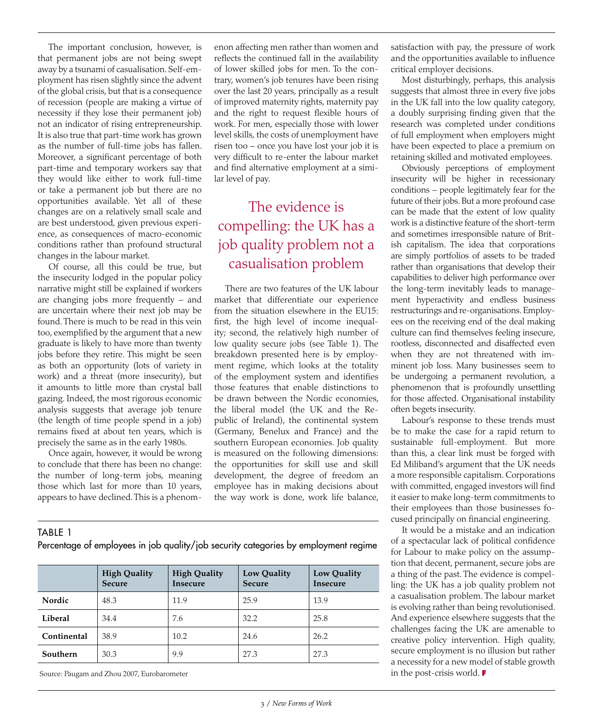The important conclusion, however, is that permanent jobs are not being swept away by a tsunami of casualisation. Self-employment has risen slightly since the advent of the global crisis, but that is a consequence of recession (people are making a virtue of necessity if they lose their permanent job) not an indicator of rising entrepreneurship. It is also true that part-time work has grown as the number of full-time jobs has fallen. Moreover, a significant percentage of both part-time and temporary workers say that they would like either to work full-time or take a permanent job but there are no opportunities available. Yet all of these changes are on a relatively small scale and are best understood, given previous experience, as consequences of macro-economic conditions rather than profound structural changes in the labour market.

Of course, all this could be true, but the insecurity lodged in the popular policy narrative might still be explained if workers are changing jobs more frequently – and are uncertain where their next job may be found. There is much to be read in this vein too, exemplified by the argument that a new graduate is likely to have more than twenty jobs before they retire. This might be seen as both an opportunity (lots of variety in work) and a threat (more insecurity), but it amounts to little more than crystal ball gazing. Indeed, the most rigorous economic analysis suggests that average job tenure (the length of time people spend in a job) remains fixed at about ten years, which is precisely the same as in the early 1980s.

Once again, however, it would be wrong to conclude that there has been no change: the number of long-term jobs, meaning those which last for more than 10 years, appears to have declined. This is a phenomenon affecting men rather than women and reflects the continued fall in the availability of lower skilled jobs for men. To the contrary, women's job tenures have been rising over the last 20 years, principally as a result of improved maternity rights, maternity pay and the right to request flexible hours of work. For men, especially those with lower level skills, the costs of unemployment have risen too – once you have lost your job it is very difficult to re-enter the labour market and find alternative employment at a similar level of pay.

### The evidence is compelling: the UK has a job quality problem not a casualisation problem

There are two features of the UK labour market that differentiate our experience from the situation elsewhere in the EU15: first, the high level of income inequality; second, the relatively high number of low quality secure jobs (see Table 1). The breakdown presented here is by employment regime, which looks at the totality of the employment system and identifies those features that enable distinctions to be drawn between the Nordic economies, the liberal model (the UK and the Republic of Ireland), the continental system (Germany, Benelux and France) and the southern European economies. Job quality is measured on the following dimensions: the opportunities for skill use and skill development, the degree of freedom an employee has in making decisions about the way work is done, work life balance,

Table 1

Percentage of employees in job quality/job security categories by employment regime

|             | <b>High Quality</b><br><b>Secure</b> | <b>High Quality</b><br><b>Insecure</b> | <b>Low Quality</b><br><b>Secure</b> | <b>Low Quality</b><br>Insecure |
|-------------|--------------------------------------|----------------------------------------|-------------------------------------|--------------------------------|
| Nordic      | 48.3                                 | 11.9                                   | 25.9                                | 13.9                           |
| Liberal     | 34.4                                 | 7.6                                    | 32.2                                | 25.8                           |
| Continental | 38.9                                 | 10.2                                   | 24.6                                | 26.2                           |
| Southern    | 30.3                                 | 9.9                                    | 27.3                                | 27.3                           |

Source: Paugam and Zhou 2007, Eurobarometer

satisfaction with pay, the pressure of work and the opportunities available to influence critical employer decisions.

Most disturbingly, perhaps, this analysis suggests that almost three in every five jobs in the UK fall into the low quality category, a doubly surprising finding given that the research was completed under conditions of full employment when employers might have been expected to place a premium on retaining skilled and motivated employees.

Obviously perceptions of employment insecurity will be higher in recessionary conditions – people legitimately fear for the future of their jobs. But a more profound case can be made that the extent of low quality work is a distinctive feature of the short-term and sometimes irresponsible nature of British capitalism. The idea that corporations are simply portfolios of assets to be traded rather than organisations that develop their capabilities to deliver high performance over the long-term inevitably leads to management hyperactivity and endless business restructurings and re-organisations. Employees on the receiving end of the deal making culture can find themselves feeling insecure, rootless, disconnected and disaffected even when they are not threatened with imminent job loss. Many businesses seem to be undergoing a permanent revolution, a phenomenon that is profoundly unsettling for those affected. Organisational instability often begets insecurity.

Labour's response to these trends must be to make the case for a rapid return to sustainable full-employment. But more than this, a clear link must be forged with Ed Miliband's argument that the UK needs a more responsible capitalism. Corporations with committed, engaged investors will find it easier to make long-term commitments to their employees than those businesses focused principally on financial engineering.

It would be a mistake and an indication of a spectacular lack of political confidence for Labour to make policy on the assumption that decent, permanent, secure jobs are a thing of the past. The evidence is compelling: the UK has a job quality problem not a casualisation problem. The labour market is evolving rather than being revolutionised. And experience elsewhere suggests that the challenges facing the UK are amenable to creative policy intervention. High quality, secure employment is no illusion but rather a necessity for a new model of stable growth in the post-crisis world. **F**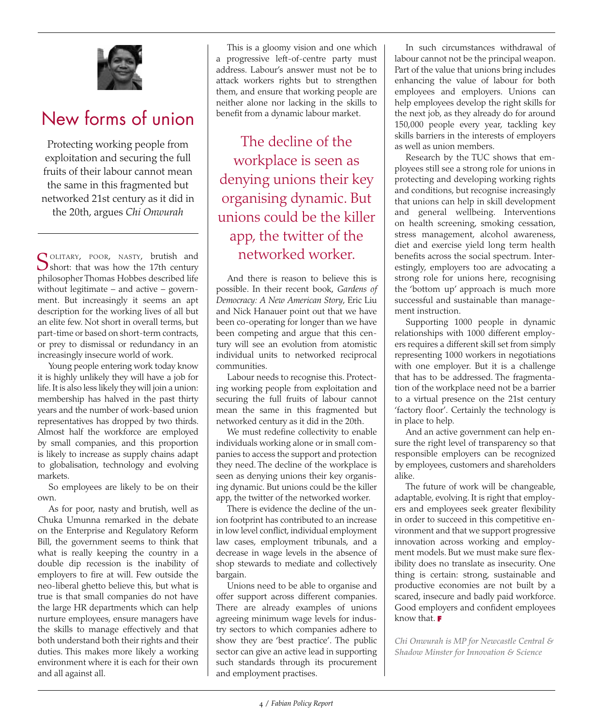

# New forms of union

Protecting working people from exploitation and securing the full fruits of their labour cannot mean the same in this fragmented but networked 21st century as it did in the 20th, argues *Chi Onwurah*

SOLITARY, POOR, NASTY, brutish and Short: that was how the 17th century philosopher Thomas Hobbes described life without legitimate – and active – government. But increasingly it seems an apt description for the working lives of all but an elite few. Not short in overall terms, but part-time or based on short-term contracts, or prey to dismissal or redundancy in an increasingly insecure world of work.

Young people entering work today know it is highly unlikely they will have a job for life. It is also less likely they will join a union: membership has halved in the past thirty years and the number of work-based union representatives has dropped by two thirds. Almost half the workforce are employed by small companies, and this proportion is likely to increase as supply chains adapt to globalisation, technology and evolving markets.

So employees are likely to be on their own.

As for poor, nasty and brutish, well as Chuka Umunna remarked in the debate on the Enterprise and Regulatory Reform Bill, the government seems to think that what is really keeping the country in a double dip recession is the inability of employers to fire at will. Few outside the neo-liberal ghetto believe this, but what is true is that small companies do not have the large HR departments which can help nurture employees, ensure managers have the skills to manage effectively and that both understand both their rights and their duties. This makes more likely a working environment where it is each for their own and all against all.

This is a gloomy vision and one which a progressive left-of-centre party must address. Labour's answer must not be to attack workers rights but to strengthen them, and ensure that working people are neither alone nor lacking in the skills to benefit from a dynamic labour market.

The decline of the workplace is seen as denying unions their key organising dynamic. But unions could be the killer app, the twitter of the networked worker.

And there is reason to believe this is possible. In their recent book, *Gardens of Democracy: A New American Story*, Eric Liu and Nick Hanauer point out that we have been co-operating for longer than we have been competing and argue that this century will see an evolution from atomistic individual units to networked reciprocal communities.

Labour needs to recognise this. Protecting working people from exploitation and securing the full fruits of labour cannot mean the same in this fragmented but networked century as it did in the 20th.

We must redefine collectivity to enable individuals working alone or in small companies to access the support and protection they need. The decline of the workplace is seen as denying unions their key organising dynamic. But unions could be the killer app, the twitter of the networked worker.

There is evidence the decline of the union footprint has contributed to an increase in low level conflict, individual employment law cases, employment tribunals, and a decrease in wage levels in the absence of shop stewards to mediate and collectively bargain.

Unions need to be able to organise and offer support across different companies. There are already examples of unions agreeing minimum wage levels for industry sectors to which companies adhere to show they are 'best practice'. The public sector can give an active lead in supporting such standards through its procurement and employment practises.

In such circumstances withdrawal of labour cannot not be the principal weapon. Part of the value that unions bring includes enhancing the value of labour for both employees and employers. Unions can help employees develop the right skills for the next job, as they already do for around 150,000 people every year, tackling key skills barriers in the interests of employers as well as union members.

Research by the TUC shows that employees still see a strong role for unions in protecting and developing working rights and conditions, but recognise increasingly that unions can help in skill development and general wellbeing. Interventions on health screening, smoking cessation, stress management, alcohol awareness, diet and exercise yield long term health benefits across the social spectrum. Interestingly, employers too are advocating a strong role for unions here, recognising the 'bottom up' approach is much more successful and sustainable than management instruction.

Supporting 1000 people in dynamic relationships with 1000 different employers requires a different skill set from simply representing 1000 workers in negotiations with one employer. But it is a challenge that has to be addressed. The fragmentation of the workplace need not be a barrier to a virtual presence on the 21st century 'factory floor'. Certainly the technology is in place to help.

And an active government can help ensure the right level of transparency so that responsible employers can be recognized by employees, customers and shareholders alike.

The future of work will be changeable, adaptable, evolving. It is right that employers and employees seek greater flexibility in order to succeed in this competitive environment and that we support progressive innovation across working and employment models. But we must make sure flexibility does no translate as insecurity. One thing is certain: strong, sustainable and productive economies are not built by a scared, insecure and badly paid workforce. Good employers and confident employees know that. **F**

*Chi Onwurah is MP for Newcastle Central & Shadow Minster for Innovation & Science*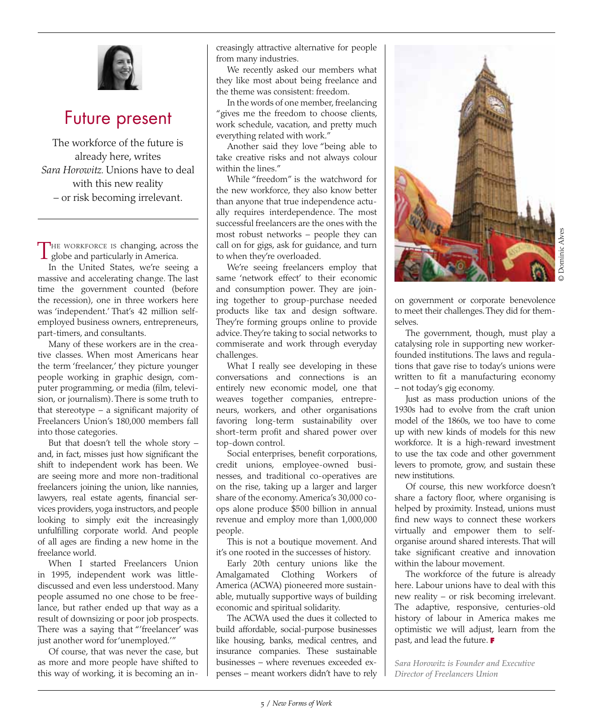

# Future present

The workforce of the future is already here, writes *Sara Horowitz.* Unions have to deal with this new reality – or risk becoming irrelevant.

The workforce is changing, across the globe and particularly in America.

In the United States, we're seeing a massive and accelerating change. The last time the government counted (before the recession), one in three workers here was 'independent.' That's 42 million selfemployed business owners, entrepreneurs, part-timers, and consultants.

Many of these workers are in the creative classes. When most Americans hear the term 'freelancer,' they picture younger people working in graphic design, computer programming, or media (film, television, or journalism). There is some truth to that stereotype – a significant majority of Freelancers Union's 180,000 members fall into those categories.

But that doesn't tell the whole story – and, in fact, misses just how significant the shift to independent work has been. We are seeing more and more non-traditional freelancers joining the union, like nannies, lawyers, real estate agents, financial services providers, yoga instructors, and people looking to simply exit the increasingly unfulfilling corporate world. And people of all ages are finding a new home in the freelance world.

When I started Freelancers Union in 1995, independent work was littlediscussed and even less understood. Many people assumed no one chose to be freelance, but rather ended up that way as a result of downsizing or poor job prospects. There was a saying that "'freelancer' was just another word for 'unemployed.'"

Of course, that was never the case, but as more and more people have shifted to this way of working, it is becoming an increasingly attractive alternative for people from many industries.

We recently asked our members what they like most about being freelance and the theme was consistent: freedom.

In the words of one member, freelancing "gives me the freedom to choose clients, work schedule, vacation, and pretty much everything related with work."

Another said they love "being able to take creative risks and not always colour within the lines."

While "freedom" is the watchword for the new workforce, they also know better than anyone that true independence actually requires interdependence. The most successful freelancers are the ones with the most robust networks – people they can call on for gigs, ask for guidance, and turn to when they're overloaded.

We're seeing freelancers employ that same 'network effect' to their economic and consumption power. They are joining together to group-purchase needed products like tax and design software. They're forming groups online to provide advice. They're taking to social networks to commiserate and work through everyday challenges.

What I really see developing in these conversations and connections is an entirely new economic model, one that weaves together companies, entrepreneurs, workers, and other organisations favoring long-term sustainability over short-term profit and shared power over top-down control.

Social enterprises, benefit corporations, credit unions, employee-owned businesses, and traditional co-operatives are on the rise, taking up a larger and larger share of the economy. America's 30,000 coops alone produce \$500 billion in annual revenue and employ more than 1,000,000 people.

This is not a boutique movement. And it's one rooted in the successes of history.

Early 20th century unions like the Amalgamated Clothing Workers of America (ACWA) pioneered more sustainable, mutually supportive ways of building economic and spiritual solidarity.

The ACWA used the dues it collected to build affordable, social-purpose businesses like housing, banks, medical centres, and insurance companies. These sustainable businesses – where revenues exceeded expenses – meant workers didn't have to rely



on government or corporate benevolence to meet their challenges. They did for themselves.

The government, though, must play a catalysing role in supporting new workerfounded institutions. The laws and regulations that gave rise to today's unions were written to fit a manufacturing economy – not today's gig economy.

Just as mass production unions of the 1930s had to evolve from the craft union model of the 1860s, we too have to come up with new kinds of models for this new workforce. It is a high-reward investment to use the tax code and other government levers to promote, grow, and sustain these new institutions.

Of course, this new workforce doesn't share a factory floor, where organising is helped by proximity. Instead, unions must find new ways to connect these workers virtually and empower them to selforganise around shared interests. That will take significant creative and innovation within the labour movement.

The workforce of the future is already here. Labour unions have to deal with this new reality – or risk becoming irrelevant. The adaptive, responsive, centuries-old history of labour in America makes me optimistic we will adjust, learn from the past, and lead the future. **F**

*Sara Horowitz is Founder and Executive Director of Freelancers Union*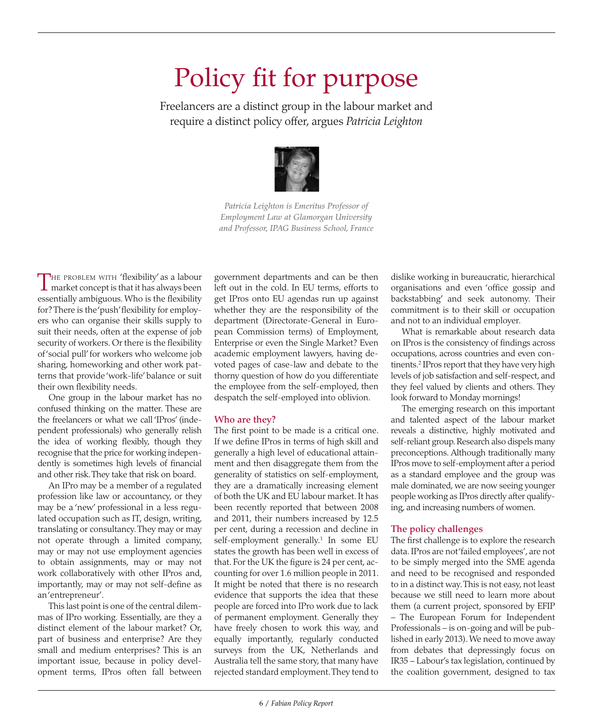# Policy fit for purpose

Freelancers are a distinct group in the labour market and require a distinct policy offer, argues *Patricia Leighton*



*Patricia Leighton is Emeritus Professor of Employment Law at Glamorgan University and Professor, IPAG Business School, France*

THE PROBLEM WITH 'flexibility' as a labour<br>market concept is that it has always been essentially ambiguous. Who is the flexibility for? There is the 'push' flexibility for employers who can organise their skills supply to suit their needs, often at the expense of job security of workers. Or there is the flexibility of 'social pull' for workers who welcome job sharing, homeworking and other work patterns that provide 'work-life' balance or suit their own flexibility needs.

One group in the labour market has no confused thinking on the matter. These are the freelancers or what we call 'IPros' (independent professionals) who generally relish the idea of working flexibly, though they recognise that the price for working independently is sometimes high levels of financial and other risk. They take that risk on board.

An IPro may be a member of a regulated profession like law or accountancy, or they may be a 'new' professional in a less regulated occupation such as IT, design, writing, translating or consultancy. They may or may not operate through a limited company, may or may not use employment agencies to obtain assignments, may or may not work collaboratively with other IPros and, importantly, may or may not self-define as an 'entrepreneur'.

This last point is one of the central dilemmas of IPro working. Essentially, are they a distinct element of the labour market? Or, part of business and enterprise? Are they small and medium enterprises? This is an important issue, because in policy development terms, IPros often fall between

government departments and can be then left out in the cold. In EU terms, efforts to get IPros onto EU agendas run up against whether they are the responsibility of the department (Directorate-General in European Commission terms) of Employment, Enterprise or even the Single Market? Even academic employment lawyers, having devoted pages of case-law and debate to the thorny question of how do you differentiate the employee from the self-employed, then despatch the self-employed into oblivion.

### Who are they?

The first point to be made is a critical one. If we define IPros in terms of high skill and generally a high level of educational attainment and then disaggregate them from the generality of statistics on self-employment, they are a dramatically increasing element of both the UK and EU labour market. It has been recently reported that between 2008 and 2011, their numbers increased by 12.5 per cent, during a recession and decline in self-employment generally.<sup>1</sup> In some EU states the growth has been well in excess of that. For the UK the figure is 24 per cent, accounting for over 1.6 million people in 2011. It might be noted that there is no research evidence that supports the idea that these people are forced into IPro work due to lack of permanent employment. Generally they have freely chosen to work this way, and equally importantly, regularly conducted surveys from the UK, Netherlands and Australia tell the same story, that many have rejected standard employment. They tend to

dislike working in bureaucratic, hierarchical organisations and even 'office gossip and backstabbing' and seek autonomy. Their commitment is to their skill or occupation and not to an individual employer.

What is remarkable about research data on IPros is the consistency of findings across occupations, across countries and even continents.<sup>2</sup> IPros report that they have very high levels of job satisfaction and self-respect, and they feel valued by clients and others. They look forward to Monday mornings!

The emerging research on this important and talented aspect of the labour market reveals a distinctive, highly motivated and self-reliant group. Research also dispels many preconceptions. Although traditionally many IPros move to self-employment after a period as a standard employee and the group was male dominated, we are now seeing younger people working as IPros directly after qualifying, and increasing numbers of women.

### The policy challenges

The first challenge is to explore the research data. IPros are not 'failed employees', are not to be simply merged into the SME agenda and need to be recognised and responded to in a distinct way. This is not easy, not least because we still need to learn more about them (a current project, sponsored by EFIP – The European Forum for Independent Professionals – is on-going and will be published in early 2013). We need to move away from debates that depressingly focus on IR35 – Labour's tax legislation, continued by the coalition government, designed to tax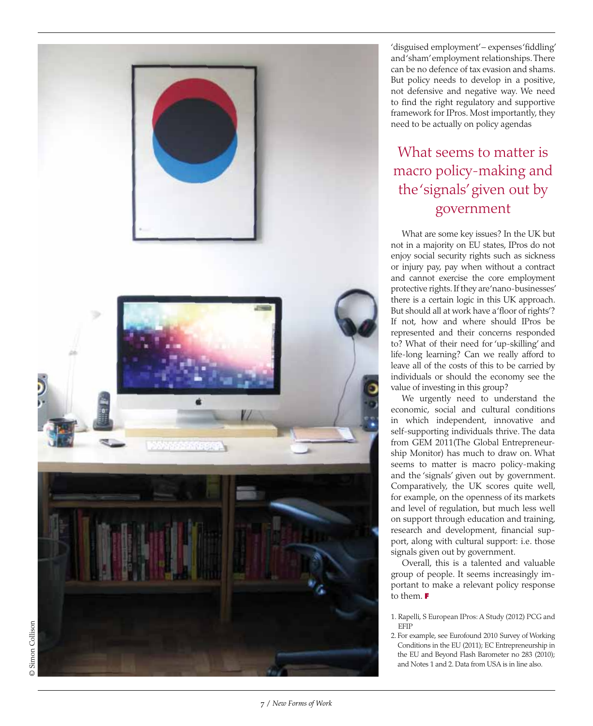

'disguised employment'- expenses' fiddling' and 'sham' employment relationships. There can be no defence of tax evasion and shams. But policy needs to develop in a positive, not defensive and negative way. We need to find the right regulatory and supportive framework for IPros. Most importantly, they need to be actually on policy agendas

### What seems to matter is macro policy-making and the 'signals' given out by government

What are some key issues? In the UK but not in a majority on EU states, IPros do not enjoy social security rights such as sickness or injury pay, pay when without a contract and cannot exercise the core employment protective rights. If they are 'nano-businesses' there is a certain logic in this UK approach. But should all at work have a 'floor of rights'? If not, how and where should IPros be represented and their concerns responded to? What of their need for 'up-skilling' and life-long learning? Can we really afford to leave all of the costs of this to be carried by individuals or should the economy see the value of investing in this group?

We urgently need to understand the economic, social and cultural conditions in which independent, innovative and self-supporting individuals thrive. The data from GEM 2011(The Global Entrepreneur ship Monitor) has much to draw on. What seems to matter is macro policy-making and the 'signals' given out by government. Comparatively, the UK scores quite well, for example, on the openness of its markets and level of regulation, but much less well on support through education and training, research and development, financial sup port, along with cultural support: i.e. those signals given out by government.

Overall, this is a talented and valuable group of people. It seems increasingly im portant to make a relevant policy response to them. **F**

2. For example, see Eurofound 2010 Survey of Working Conditions in the EU (2011); EC Entrepreneurship in the EU and Beyond Flash Barometer no 283 (2010); and Notes 1 and 2. Data from USA is in line also.

<sup>1.</sup> Rapelli, S European IPros: A Study (2012) PCG and EFIP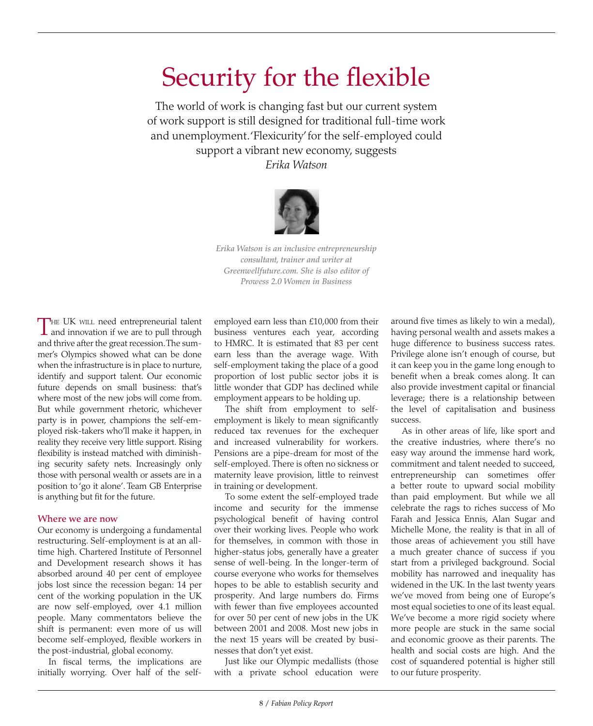# Security for the flexible

The world of work is changing fast but our current system of work support is still designed for traditional full-time work and unemployment. 'Flexicurity' for the self-employed could support a vibrant new economy, suggests *Erika Watson*



*Erika Watson is an inclusive entrepreneurship consultant, trainer and writer at Greenwellfuture.com. She is also editor of Prowess 2.0 Women in Business*

THE UK WILL need entrepreneurial talent and innovation if we are to pull through and thrive after the great recession. The summer's Olympics showed what can be done when the infrastructure is in place to nurture, identify and support talent. Our economic future depends on small business: that's where most of the new jobs will come from. But while government rhetoric, whichever party is in power, champions the self-employed risk-takers who'll make it happen, in reality they receive very little support. Rising flexibility is instead matched with diminishing security safety nets. Increasingly only those with personal wealth or assets are in a position to 'go it alone'. Team GB Enterprise is anything but fit for the future.

#### Where we are now

Our economy is undergoing a fundamental restructuring. Self-employment is at an alltime high. Chartered Institute of Personnel and Development research shows it has absorbed around 40 per cent of employee jobs lost since the recession began: 14 per cent of the working population in the UK are now self-employed, over 4.1 million people. Many commentators believe the shift is permanent: even more of us will become self-employed, flexible workers in the post-industrial, global economy.

In fiscal terms, the implications are initially worrying. Over half of the selfemployed earn less than £10,000 from their business ventures each year, according to HMRC. It is estimated that 83 per cent earn less than the average wage. With self-employment taking the place of a good proportion of lost public sector jobs it is little wonder that GDP has declined while employment appears to be holding up.

The shift from employment to selfemployment is likely to mean significantly reduced tax revenues for the exchequer and increased vulnerability for workers. Pensions are a pipe-dream for most of the self-employed. There is often no sickness or maternity leave provision, little to reinvest in training or development.

To some extent the self-employed trade income and security for the immense psychological benefit of having control over their working lives. People who work for themselves, in common with those in higher-status jobs, generally have a greater sense of well-being. In the longer-term of course everyone who works for themselves hopes to be able to establish security and prosperity. And large numbers do. Firms with fewer than five employees accounted for over 50 per cent of new jobs in the UK between 2001 and 2008. Most new jobs in the next 15 years will be created by businesses that don't yet exist.

Just like our Olympic medallists (those with a private school education were

around five times as likely to win a medal), having personal wealth and assets makes a huge difference to business success rates. Privilege alone isn't enough of course, but it can keep you in the game long enough to benefit when a break comes along. It can also provide investment capital or financial leverage; there is a relationship between the level of capitalisation and business success.

As in other areas of life, like sport and the creative industries, where there's no easy way around the immense hard work, commitment and talent needed to succeed, entrepreneurship can sometimes offer a better route to upward social mobility than paid employment. But while we all celebrate the rags to riches success of Mo Farah and Jessica Ennis, Alan Sugar and Michelle Mone, the reality is that in all of those areas of achievement you still have a much greater chance of success if you start from a privileged background. Social mobility has narrowed and inequality has widened in the UK. In the last twenty years we've moved from being one of Europe's most equal societies to one of its least equal. We've become a more rigid society where more people are stuck in the same social and economic groove as their parents. The health and social costs are high. And the cost of squandered potential is higher still to our future prosperity.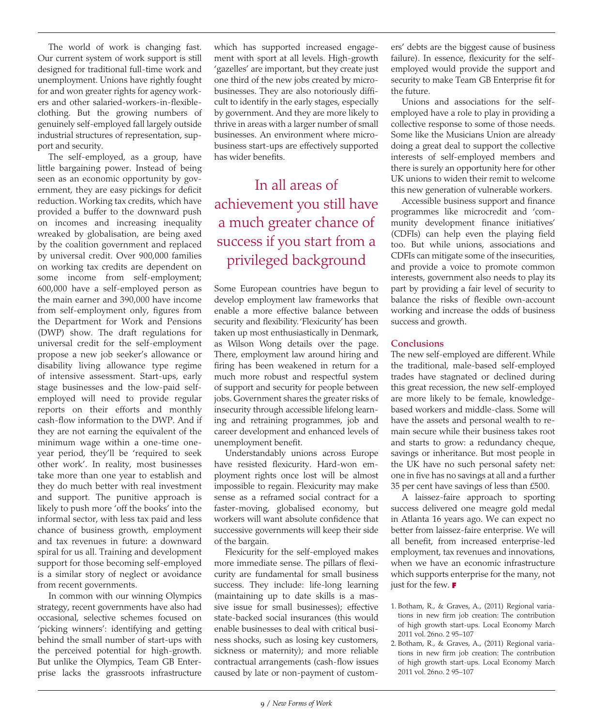The world of work is changing fast. Our current system of work support is still designed for traditional full-time work and unemployment. Unions have rightly fought for and won greater rights for agency workers and other salaried-workers-in-flexibleclothing. But the growing numbers of genuinely self-employed fall largely outside industrial structures of representation, support and security.

The self-employed, as a group, have little bargaining power. Instead of being seen as an economic opportunity by government, they are easy pickings for deficit reduction. Working tax credits, which have provided a buffer to the downward push on incomes and increasing inequality wreaked by globalisation, are being axed by the coalition government and replaced by universal credit. Over 900,000 families on working tax credits are dependent on some income from self-employment; 600,000 have a self-employed person as the main earner and 390,000 have income from self-employment only, figures from the Department for Work and Pensions (DWP) show. The draft regulations for universal credit for the self-employment propose a new job seeker's allowance or disability living allowance type regime of intensive assessment. Start-ups, early stage businesses and the low-paid selfemployed will need to provide regular reports on their efforts and monthly cash-flow information to the DWP. And if they are not earning the equivalent of the minimum wage within a one-time oneyear period, they'll be 'required to seek other work'. In reality, most businesses take more than one year to establish and they do much better with real investment and support. The punitive approach is likely to push more 'off the books' into the informal sector, with less tax paid and less chance of business growth, employment and tax revenues in future: a downward spiral for us all. Training and development support for those becoming self-employed is a similar story of neglect or avoidance from recent governments.

In common with our winning Olympics strategy, recent governments have also had occasional, selective schemes focused on 'picking winners': identifying and getting behind the small number of start-ups with the perceived potential for high-growth. But unlike the Olympics, Team GB Enterprise lacks the grassroots infrastructure

which has supported increased engagement with sport at all levels. High-growth 'gazelles' are important, but they create just one third of the new jobs created by microbusinesses. They are also notoriously difficult to identify in the early stages, especially by government. And they are more likely to thrive in areas with a larger number of small businesses. An environment where microbusiness start-ups are effectively supported has wider benefits.

### In all areas of achievement you still have a much greater chance of success if you start from a privileged background

Some European countries have begun to develop employment law frameworks that enable a more effective balance between security and flexibility. 'Flexicurity' has been taken up most enthusiastically in Denmark, as Wilson Wong details over the page. There, employment law around hiring and firing has been weakened in return for a much more robust and respectful system of support and security for people between jobs. Government shares the greater risks of insecurity through accessible lifelong learning and retraining programmes, job and career development and enhanced levels of unemployment benefit.

Understandably unions across Europe have resisted flexicurity. Hard-won employment rights once lost will be almost impossible to regain. Flexicurity may make sense as a reframed social contract for a faster-moving, globalised economy, but workers will want absolute confidence that successive governments will keep their side of the bargain.

Flexicurity for the self-employed makes more immediate sense. The pillars of flexicurity are fundamental for small business success. They include: life-long learning (maintaining up to date skills is a massive issue for small businesses); effective state-backed social insurances (this would enable businesses to deal with critical business shocks, such as losing key customers, sickness or maternity); and more reliable contractual arrangements (cash-flow issues caused by late or non-payment of customers' debts are the biggest cause of business failure). In essence, flexicurity for the selfemployed would provide the support and security to make Team GB Enterprise fit for the future.

Unions and associations for the selfemployed have a role to play in providing a collective response to some of those needs. Some like the Musicians Union are already doing a great deal to support the collective interests of self-employed members and there is surely an opportunity here for other UK unions to widen their remit to welcome this new generation of vulnerable workers.

Accessible business support and finance programmes like microcredit and 'community development finance initiatives' (CDFIs) can help even the playing field too. But while unions, associations and CDFIs can mitigate some of the insecurities, and provide a voice to promote common interests, government also needs to play its part by providing a fair level of security to balance the risks of flexible own-account working and increase the odds of business success and growth.

#### **Conclusions**

The new self-employed are different. While the traditional, male-based self-employed trades have stagnated or declined during this great recession, the new self-employed are more likely to be female, knowledgebased workers and middle-class. Some will have the assets and personal wealth to remain secure while their business takes root and starts to grow: a redundancy cheque, savings or inheritance. But most people in the UK have no such personal safety net: one in five has no savings at all and a further 35 per cent have savings of less than £500.

A laissez-faire approach to sporting success delivered one meagre gold medal in Atlanta 16 years ago. We can expect no better from laissez-faire enterprise. We will all benefit, from increased enterprise-led employment, tax revenues and innovations, when we have an economic infrastructure which supports enterprise for the many, not just for the few. **F**

- 1. Botham, R., & Graves, A., (2011) Regional variations in new firm job creation: The contribution of high growth start-ups. Local Economy March 2011 vol. 26no. 2 95–107
- 2. Botham, R., & Graves, A., (2011) Regional variations in new firm job creation: The contribution of high growth start-ups. Local Economy March 2011 vol. 26no. 2 95–107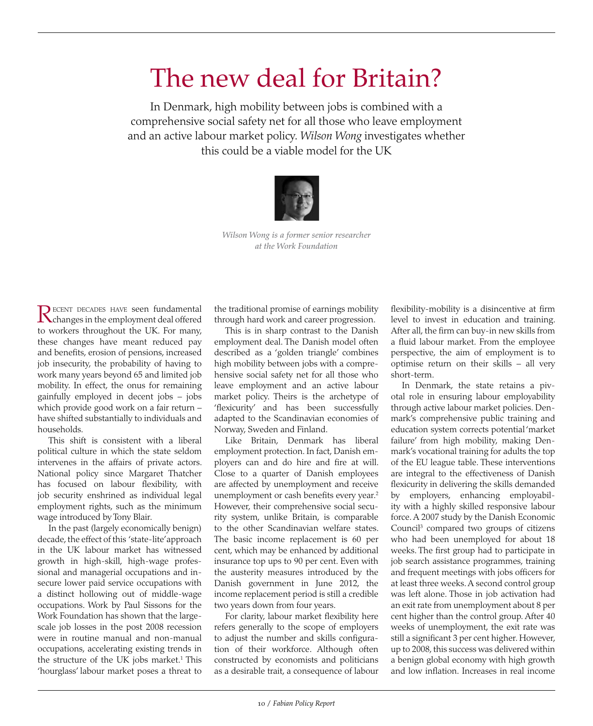# The new deal for Britain?

In Denmark, high mobility between jobs is combined with a comprehensive social safety net for all those who leave employment and an active labour market policy. *Wilson Wong* investigates whether this could be a viable model for the UK



*Wilson Wong is a former senior researcher at the Work Foundation*

RECENT DECADES HAVE seen fundamental<br>changes in the employment deal offered to workers throughout the UK. For many, these changes have meant reduced pay and benefits, erosion of pensions, increased job insecurity, the probability of having to work many years beyond 65 and limited job mobility. In effect, the onus for remaining gainfully employed in decent jobs – jobs which provide good work on a fair return – have shifted substantially to individuals and households.

This shift is consistent with a liberal political culture in which the state seldom intervenes in the affairs of private actors. National policy since Margaret Thatcher has focused on labour flexibility, with job security enshrined as individual legal employment rights, such as the minimum wage introduced by Tony Blair.

In the past (largely economically benign) decade, the effect of this 'state-lite' approach in the UK labour market has witnessed growth in high-skill, high-wage professional and managerial occupations and insecure lower paid service occupations with a distinct hollowing out of middle-wage occupations. Work by Paul Sissons for the Work Foundation has shown that the largescale job losses in the post 2008 recession were in routine manual and non-manual occupations, accelerating existing trends in the structure of the UK jobs market.<sup>1</sup> This 'hourglass' labour market poses a threat to

the traditional promise of earnings mobility through hard work and career progression.

This is in sharp contrast to the Danish employment deal. The Danish model often described as a 'golden triangle' combines high mobility between jobs with a comprehensive social safety net for all those who leave employment and an active labour market policy. Theirs is the archetype of 'flexicurity' and has been successfully adapted to the Scandinavian economies of Norway, Sweden and Finland.

Like Britain, Denmark has liberal employment protection. In fact, Danish employers can and do hire and fire at will. Close to a quarter of Danish employees are affected by unemployment and receive unemployment or cash benefits every year.<sup>2</sup> However, their comprehensive social security system, unlike Britain, is comparable to the other Scandinavian welfare states. The basic income replacement is 60 per cent, which may be enhanced by additional insurance top ups to 90 per cent. Even with the austerity measures introduced by the Danish government in June 2012, the income replacement period is still a credible two years down from four years.

For clarity, labour market flexibility here refers generally to the scope of employers to adjust the number and skills configuration of their workforce. Although often constructed by economists and politicians as a desirable trait, a consequence of labour

flexibility-mobility is a disincentive at firm level to invest in education and training. After all, the firm can buy-in new skills from a fluid labour market. From the employee perspective, the aim of employment is to optimise return on their skills – all very short-term.

In Denmark, the state retains a pivotal role in ensuring labour employability through active labour market policies. Denmark's comprehensive public training and education system corrects potential 'market failure' from high mobility, making Denmark's vocational training for adults the top of the EU league table. These interventions are integral to the effectiveness of Danish flexicurity in delivering the skills demanded by employers, enhancing employability with a highly skilled responsive labour force. A 2007 study by the Danish Economic Council3 compared two groups of citizens who had been unemployed for about 18 weeks. The first group had to participate in job search assistance programmes, training and frequent meetings with jobs officers for at least three weeks. A second control group was left alone. Those in job activation had an exit rate from unemployment about 8 per cent higher than the control group. After 40 weeks of unemployment, the exit rate was still a significant 3 per cent higher. However, up to 2008, this success was delivered within a benign global economy with high growth and low inflation. Increases in real income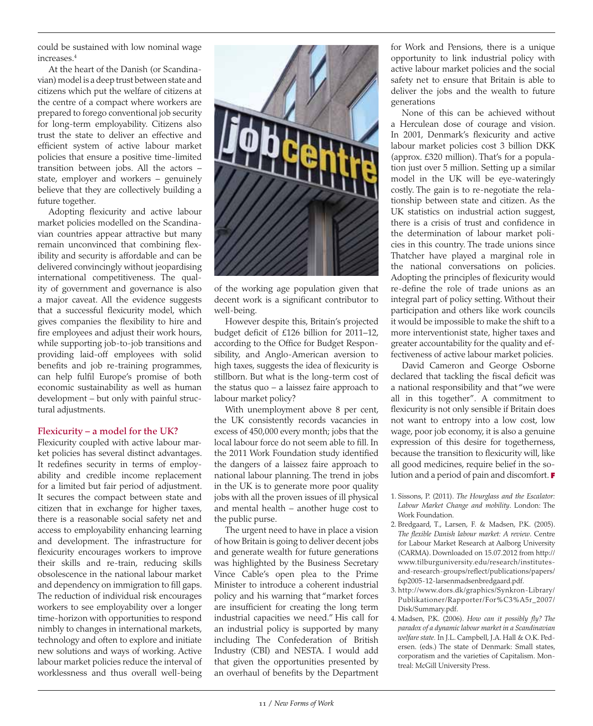could be sustained with low nominal wage increases.4

At the heart of the Danish (or Scandinavian) model is a deep trust between state and citizens which put the welfare of citizens at the centre of a compact where workers are prepared to forego conventional job security for long-term employability. Citizens also trust the state to deliver an effective and efficient system of active labour market policies that ensure a positive time-limited transition between jobs. All the actors – state, employer and workers – genuinely believe that they are collectively building a future together.

Adopting flexicurity and active labour market policies modelled on the Scandinavian countries appear attractive but many remain unconvinced that combining flexibility and security is affordable and can be delivered convincingly without jeopardising international competitiveness. The quality of government and governance is also a major caveat. All the evidence suggests that a successful flexicurity model, which gives companies the flexibility to hire and fire employees and adjust their work hours, while supporting job-to-job transitions and providing laid-off employees with solid benefits and job re-training programmes, can help fulfil Europe's promise of both economic sustainability as well as human development – but only with painful structural adjustments.

### Flexicurity – a model for the UK?

Flexicurity coupled with active labour market policies has several distinct advantages. It redefines security in terms of employability and credible income replacement for a limited but fair period of adjustment. It secures the compact between state and citizen that in exchange for higher taxes, there is a reasonable social safety net and access to employability enhancing learning and development. The infrastructure for flexicurity encourages workers to improve their skills and re-train, reducing skills obsolescence in the national labour market and dependency on immigration to fill gaps. The reduction of individual risk encourages workers to see employability over a longer time-horizon with opportunities to respond nimbly to changes in international markets, technology and often to explore and initiate new solutions and ways of working. Active labour market policies reduce the interval of worklessness and thus overall well-being



of the working age population given that decent work is a significant contributor to well-being.

However despite this, Britain's projected budget deficit of £126 billion for 2011–12, according to the Office for Budget Responsibility, and Anglo-American aversion to high taxes, suggests the idea of flexicurity is stillborn. But what is the long-term cost of the status quo – a laissez faire approach to labour market policy?

With unemployment above 8 per cent, the UK consistently records vacancies in excess of 450,000 every month; jobs that the local labour force do not seem able to fill. In the 2011 Work Foundation study identified the dangers of a laissez faire approach to national labour planning. The trend in jobs in the UK is to generate more poor quality jobs with all the proven issues of ill physical and mental health – another huge cost to the public purse.

The urgent need to have in place a vision of how Britain is going to deliver decent jobs and generate wealth for future generations was highlighted by the Business Secretary Vince Cable's open plea to the Prime Minister to introduce a coherent industrial policy and his warning that "market forces are insufficient for creating the long term industrial capacities we need." His call for an industrial policy is supported by many including The Confederation of British Industry (CBI) and NESTA. I would add that given the opportunities presented by an overhaul of benefits by the Department for Work and Pensions, there is a unique opportunity to link industrial policy with active labour market policies and the social safety net to ensure that Britain is able to deliver the jobs and the wealth to future generations

None of this can be achieved without a Herculean dose of courage and vision. In 2001, Denmark's flexicurity and active labour market policies cost 3 billion DKK (approx. £320 million). That's for a population just over 5 million. Setting up a similar model in the UK will be eye-wateringly costly. The gain is to re-negotiate the relationship between state and citizen. As the UK statistics on industrial action suggest, there is a crisis of trust and confidence in the determination of labour market policies in this country. The trade unions since Thatcher have played a marginal role in the national conversations on policies. Adopting the principles of flexicurity would re-define the role of trade unions as an integral part of policy setting. Without their participation and others like work councils it would be impossible to make the shift to a more interventionist state, higher taxes and greater accountability for the quality and effectiveness of active labour market policies.

David Cameron and George Osborne declared that tackling the fiscal deficit was a national responsibility and that "we were all in this together". A commitment to flexicurity is not only sensible if Britain does not want to entropy into a low cost, low wage, poor job economy, it is also a genuine expression of this desire for togetherness, because the transition to flexicurity will, like all good medicines, require belief in the solution and a period of pain and discomfort. **F**

- 1. Sissons, P. (2011). *The Hourglass and the Escalator: Labour Market Change and mobility*. London: The Work Foundation.
- 2. Bredgaard, T., Larsen, F. & Madsen, P.K. (2005). *The flexible Danish labour market: A review*. Centre for Labour Market Research at Aalborg University (CARMA). Downloaded on 15.07.2012 from http:// www.tilburguniversity.edu/research/institutesand-research-groups/reflect/publications/papers/ fxp2005-12-larsenmadsenbredgaard.pdf.
- 3. http://www.dors.dk/graphics/Synkron-Library/ Publikationer/Rapporter/For%C3%A5r\_2007/ Disk/Summary.pdf.
- 4. Madsen, P.K. (2006). *How can it possibly fly? The paradox of a dynamic labour market in a Scandinavian welfare state.* In J.L. Campbell, J.A. Hall & O.K. Pedersen. (eds.) The state of Denmark: Small states, corporatism and the varieties of Capitalism. Montreal: McGill University Press.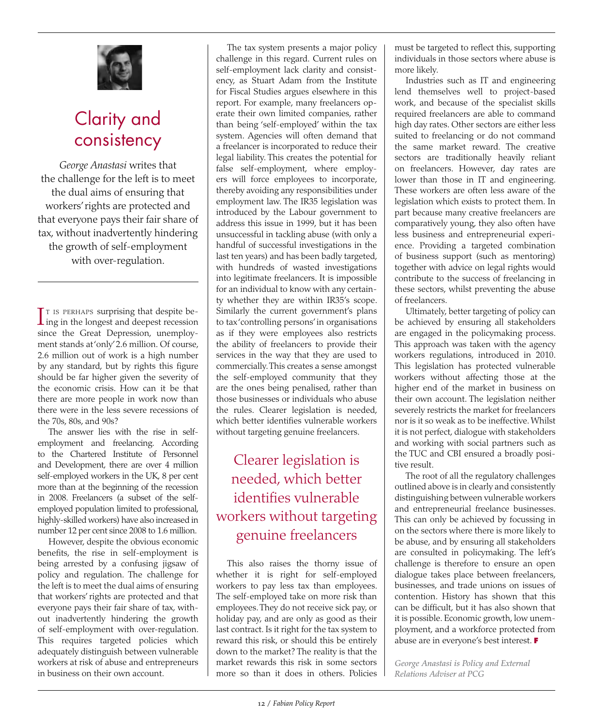

## Clarity and consistency

*George Anastasi* writes that the challenge for the left is to meet the dual aims of ensuring that workers' rights are protected and that everyone pays their fair share of tax, without inadvertently hindering the growth of self-employment with over-regulation.

 $\prod$  is perhaps surprising that despite being in the longest and deepest recession  $\Gamma$  is perhaps surprising that despite besince the Great Depression, unemployment stands at 'only' 2.6 million. Of course, 2.6 million out of work is a high number by any standard, but by rights this figure should be far higher given the severity of the economic crisis. How can it be that there are more people in work now than there were in the less severe recessions of the 70s, 80s, and 90s?

The answer lies with the rise in selfemployment and freelancing. According to the Chartered Institute of Personnel and Development, there are over 4 million self-employed workers in the UK, 8 per cent more than at the beginning of the recession in 2008. Freelancers (a subset of the selfemployed population limited to professional, highly-skilled workers) have also increased in number 12 per cent since 2008 to 1.6 million.

However, despite the obvious economic benefits, the rise in self-employment is being arrested by a confusing jigsaw of policy and regulation. The challenge for the left is to meet the dual aims of ensuring that workers' rights are protected and that everyone pays their fair share of tax, without inadvertently hindering the growth of self-employment with over-regulation. This requires targeted policies which adequately distinguish between vulnerable workers at risk of abuse and entrepreneurs in business on their own account.

The tax system presents a major policy challenge in this regard. Current rules on self-employment lack clarity and consistency, as Stuart Adam from the Institute for Fiscal Studies argues elsewhere in this report. For example, many freelancers operate their own limited companies, rather than being 'self-employed' within the tax system. Agencies will often demand that a freelancer is incorporated to reduce their legal liability. This creates the potential for false self-employment, where employers will force employees to incorporate, thereby avoiding any responsibilities under employment law. The IR35 legislation was introduced by the Labour government to address this issue in 1999, but it has been unsuccessful in tackling abuse (with only a handful of successful investigations in the last ten years) and has been badly targeted, with hundreds of wasted investigations into legitimate freelancers. It is impossible for an individual to know with any certainty whether they are within IR35's scope. Similarly the current government's plans to tax 'controlling persons' in organisations as if they were employees also restricts the ability of freelancers to provide their services in the way that they are used to commercially. This creates a sense amongst the self-employed community that they are the ones being penalised, rather than those businesses or individuals who abuse the rules. Clearer legislation is needed, which better identifies vulnerable workers without targeting genuine freelancers.

### Clearer legislation is needed, which better identifies vulnerable workers without targeting genuine freelancers

This also raises the thorny issue of whether it is right for self-employed workers to pay less tax than employees. The self-employed take on more risk than employees. They do not receive sick pay, or holiday pay, and are only as good as their last contract. Is it right for the tax system to reward this risk, or should this be entirely down to the market? The reality is that the market rewards this risk in some sectors more so than it does in others. Policies

must be targeted to reflect this, supporting individuals in those sectors where abuse is more likely.

Industries such as IT and engineering lend themselves well to project-based work, and because of the specialist skills required freelancers are able to command high day rates. Other sectors are either less suited to freelancing or do not command the same market reward. The creative sectors are traditionally heavily reliant on freelancers. However, day rates are lower than those in IT and engineering. These workers are often less aware of the legislation which exists to protect them. In part because many creative freelancers are comparatively young, they also often have less business and entrepreneurial experience. Providing a targeted combination of business support (such as mentoring) together with advice on legal rights would contribute to the success of freelancing in these sectors, whilst preventing the abuse of freelancers.

Ultimately, better targeting of policy can be achieved by ensuring all stakeholders are engaged in the policymaking process. This approach was taken with the agency workers regulations, introduced in 2010. This legislation has protected vulnerable workers without affecting those at the higher end of the market in business on their own account. The legislation neither severely restricts the market for freelancers nor is it so weak as to be ineffective. Whilst it is not perfect, dialogue with stakeholders and working with social partners such as the TUC and CBI ensured a broadly positive result.

The root of all the regulatory challenges outlined above is in clearly and consistently distinguishing between vulnerable workers and entrepreneurial freelance businesses. This can only be achieved by focussing in on the sectors where there is more likely to be abuse, and by ensuring all stakeholders are consulted in policymaking. The left's challenge is therefore to ensure an open dialogue takes place between freelancers, businesses, and trade unions on issues of contention. History has shown that this can be difficult, but it has also shown that it is possible. Economic growth, low unemployment, and a workforce protected from abuse are in everyone's best interest. **F**

*George Anastasi is Policy and External Relations Adviser at PCG*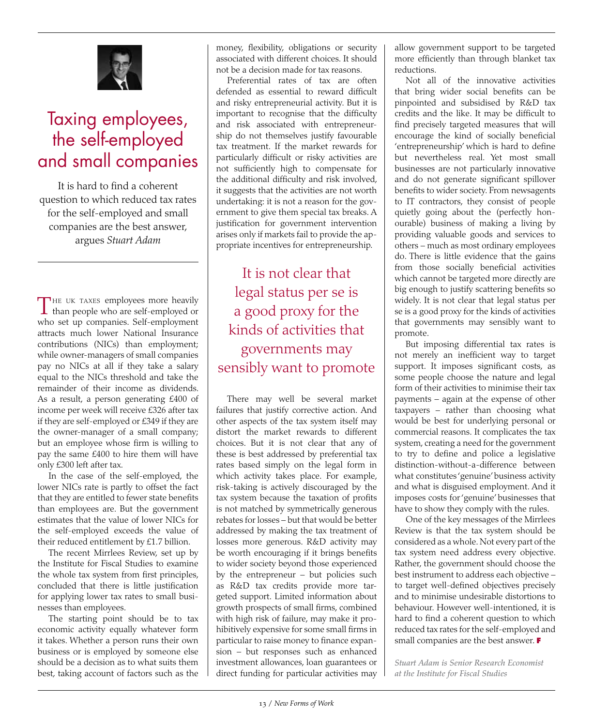

# Taxing employees, the self-employed and small companies

It is hard to find a coherent question to which reduced tax rates for the self-employed and small companies are the best answer, argues *Stuart Adam*

T he uk taxes employees more heavily than people who are self-employed or who set up companies. Self-employment attracts much lower National Insurance contributions (NICs) than employment; while owner-managers of small companies pay no NICs at all if they take a salary equal to the NICs threshold and take the remainder of their income as dividends. As a result, a person generating £400 of income per week will receive £326 after tax if they are self-employed or £349 if they are the owner-manager of a small company; but an employee whose firm is willing to pay the same £400 to hire them will have only £300 left after tax.

In the case of the self-employed, the lower NICs rate is partly to offset the fact that they are entitled to fewer state benefits than employees are. But the government estimates that the value of lower NICs for the self-employed exceeds the value of their reduced entitlement by £1.7 billion.

The recent Mirrlees Review, set up by the Institute for Fiscal Studies to examine the whole tax system from first principles, concluded that there is little justification for applying lower tax rates to small businesses than employees.

The starting point should be to tax economic activity equally whatever form it takes. Whether a person runs their own business or is employed by someone else should be a decision as to what suits them best, taking account of factors such as the money, flexibility, obligations or security associated with different choices. It should not be a decision made for tax reasons.

Preferential rates of tax are often defended as essential to reward difficult and risky entrepreneurial activity. But it is important to recognise that the difficulty and risk associated with entrepreneurship do not themselves justify favourable tax treatment. If the market rewards for particularly difficult or risky activities are not sufficiently high to compensate for the additional difficulty and risk involved, it suggests that the activities are not worth undertaking: it is not a reason for the government to give them special tax breaks. A justification for government intervention arises only if markets fail to provide the appropriate incentives for entrepreneurship.

It is not clear that legal status per se is a good proxy for the kinds of activities that governments may sensibly want to promote

There may well be several market failures that justify corrective action. And other aspects of the tax system itself may distort the market rewards to different choices. But it is not clear that any of these is best addressed by preferential tax rates based simply on the legal form in which activity takes place. For example, risk-taking is actively discouraged by the tax system because the taxation of profits is not matched by symmetrically generous rebates for losses – but that would be better addressed by making the tax treatment of losses more generous. R&D activity may be worth encouraging if it brings benefits to wider society beyond those experienced by the entrepreneur – but policies such as R&D tax credits provide more targeted support. Limited information about growth prospects of small firms, combined with high risk of failure, may make it prohibitively expensive for some small firms in particular to raise money to finance expansion – but responses such as enhanced investment allowances, loan guarantees or direct funding for particular activities may allow government support to be targeted more efficiently than through blanket tax reductions.

Not all of the innovative activities that bring wider social benefits can be pinpointed and subsidised by R&D tax credits and the like. It may be difficult to find precisely targeted measures that will encourage the kind of socially beneficial 'entrepreneurship' which is hard to define but nevertheless real. Yet most small businesses are not particularly innovative and do not generate significant spillover benefits to wider society. From newsagents to IT contractors, they consist of people quietly going about the (perfectly honourable) business of making a living by providing valuable goods and services to others – much as most ordinary employees do. There is little evidence that the gains from those socially beneficial activities which cannot be targeted more directly are big enough to justify scattering benefits so widely. It is not clear that legal status per se is a good proxy for the kinds of activities that governments may sensibly want to promote.

But imposing differential tax rates is not merely an inefficient way to target support. It imposes significant costs, as some people choose the nature and legal form of their activities to minimise their tax payments – again at the expense of other taxpayers – rather than choosing what would be best for underlying personal or commercial reasons. It complicates the tax system, creating a need for the government to try to define and police a legislative distinction-without-a-difference between what constitutes 'genuine' business activity and what is disguised employment. And it imposes costs for 'genuine' businesses that have to show they comply with the rules.

One of the key messages of the Mirrlees Review is that the tax system should be considered as a whole. Not every part of the tax system need address every objective. Rather, the government should choose the best instrument to address each objective – to target well-defined objectives precisely and to minimise undesirable distortions to behaviour. However well-intentioned, it is hard to find a coherent question to which reduced tax rates for the self-employed and small companies are the best answer. **F**

*Stuart Adam is Senior Research Economist at the Institute for Fiscal Studies*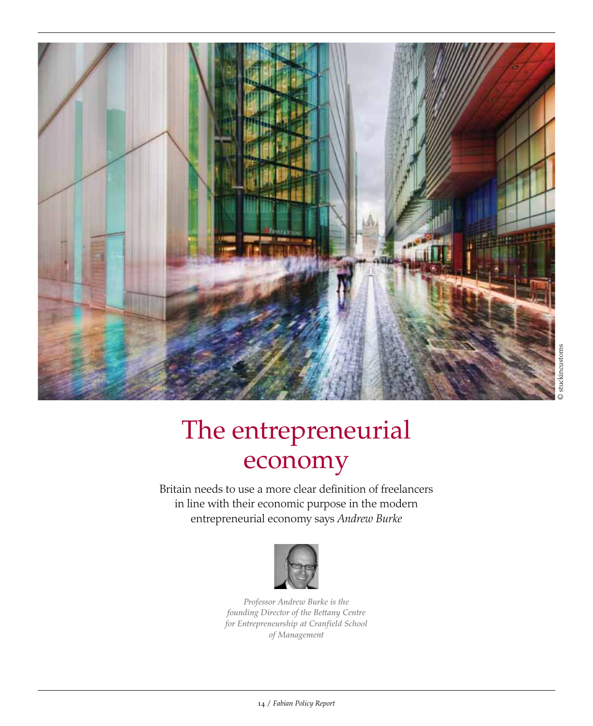

# The entrepreneurial economy

Britain needs to use a more clear definition of freelancers in line with their economic purpose in the modern entrepreneurial economy says *Andrew Burke*



*Professor Andrew Burke is the founding Director of the Bettany Centre for Entrepreneurship at Cranfield School of Management*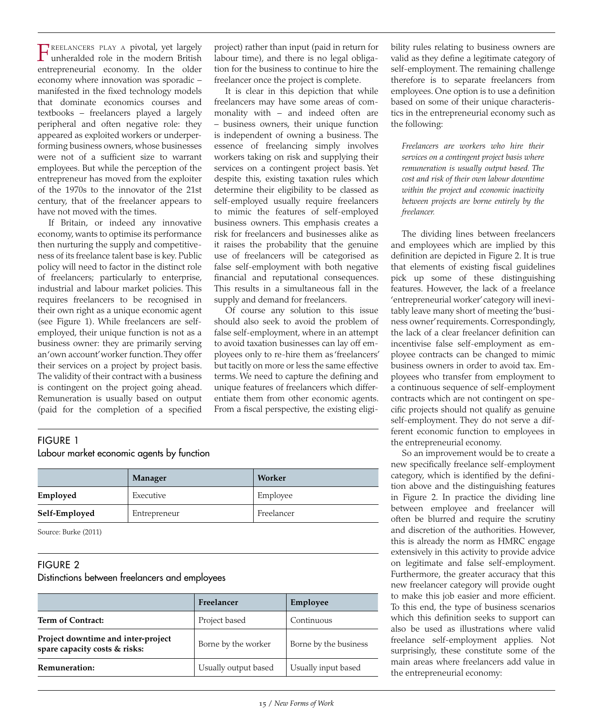F reelancers play <sup>a</sup> pivotal, yet largely unheralded role in the modern British entrepreneurial economy. In the older economy where innovation was sporadic – manifested in the fixed technology models that dominate economics courses and textbooks – freelancers played a largely peripheral and often negative role: they appeared as exploited workers or underperforming business owners, whose businesses were not of a sufficient size to warrant employees. But while the perception of the entrepreneur has moved from the exploiter of the 1970s to the innovator of the 21st century, that of the freelancer appears to have not moved with the times.

If Britain, or indeed any innovative economy, wants to optimise its performance then nurturing the supply and competitiveness of its freelance talent base is key. Public policy will need to factor in the distinct role of freelancers; particularly to enterprise, industrial and labour market policies. This requires freelancers to be recognised in their own right as a unique economic agent (see Figure 1). While freelancers are selfemployed, their unique function is not as a business owner: they are primarily serving an 'own account' worker function. They offer their services on a project by project basis. The validity of their contract with a business is contingent on the project going ahead. Remuneration is usually based on output (paid for the completion of a specified

project) rather than input (paid in return for labour time), and there is no legal obligation for the business to continue to hire the freelancer once the project is complete.

It is clear in this depiction that while freelancers may have some areas of commonality with – and indeed often are – business owners, their unique function is independent of owning a business. The essence of freelancing simply involves workers taking on risk and supplying their services on a contingent project basis. Yet despite this, existing taxation rules which determine their eligibility to be classed as self-employed usually require freelancers to mimic the features of self-employed business owners. This emphasis creates a risk for freelancers and businesses alike as it raises the probability that the genuine use of freelancers will be categorised as false self-employment with both negative financial and reputational consequences. This results in a simultaneous fall in the supply and demand for freelancers.

Of course any solution to this issue should also seek to avoid the problem of false self-employment, where in an attempt to avoid taxation businesses can lay off employees only to re-hire them as 'freelancers' but tacitly on more or less the same effective terms. We need to capture the defining and unique features of freelancers which differentiate them from other economic agents. From a fiscal perspective, the existing eligi-

### Figure 1

#### Labour market economic agents by function

|               | Manager      | Worker     |
|---------------|--------------|------------|
| Employed      | Executive    | Employee   |
| Self-Employed | Entrepreneur | Freelancer |

Source: Burke (2011)

### Figure 2

### Distinctions between freelancers and employees

|                                                                     | Freelancer           | Employee              |
|---------------------------------------------------------------------|----------------------|-----------------------|
| <b>Term of Contract:</b>                                            | Project based        | Continuous            |
| Project downtime and inter-project<br>spare capacity costs & risks: | Borne by the worker  | Borne by the business |
| Remuneration:                                                       | Usually output based | Usually input based   |

bility rules relating to business owners are valid as they define a legitimate category of self-employment. The remaining challenge therefore is to separate freelancers from employees. One option is to use a definition based on some of their unique characteristics in the entrepreneurial economy such as the following:

*Freelancers are workers who hire their services on a contingent project basis where remuneration is usually output based. The cost and risk of their own labour downtime within the project and economic inactivity between projects are borne entirely by the freelancer.* 

The dividing lines between freelancers and employees which are implied by this definition are depicted in Figure 2. It is true that elements of existing fiscal guidelines pick up some of these distinguishing features. However, the lack of a freelance 'entrepreneurial worker' category will inevitably leave many short of meeting the 'business owner' requirements. Correspondingly, the lack of a clear freelancer definition can incentivise false self-employment as employee contracts can be changed to mimic business owners in order to avoid tax. Employees who transfer from employment to a continuous sequence of self-employment contracts which are not contingent on specific projects should not qualify as genuine self-employment. They do not serve a different economic function to employees in the entrepreneurial economy.

So an improvement would be to create a new specifically freelance self-employment category, which is identified by the definition above and the distinguishing features in Figure 2. In practice the dividing line between employee and freelancer will often be blurred and require the scrutiny and discretion of the authorities. However, this is already the norm as HMRC engage extensively in this activity to provide advice on legitimate and false self-employment. Furthermore, the greater accuracy that this new freelancer category will provide ought to make this job easier and more efficient. To this end, the type of business scenarios which this definition seeks to support can also be used as illustrations where valid freelance self-employment applies. Not surprisingly, these constitute some of the main areas where freelancers add value in the entrepreneurial economy: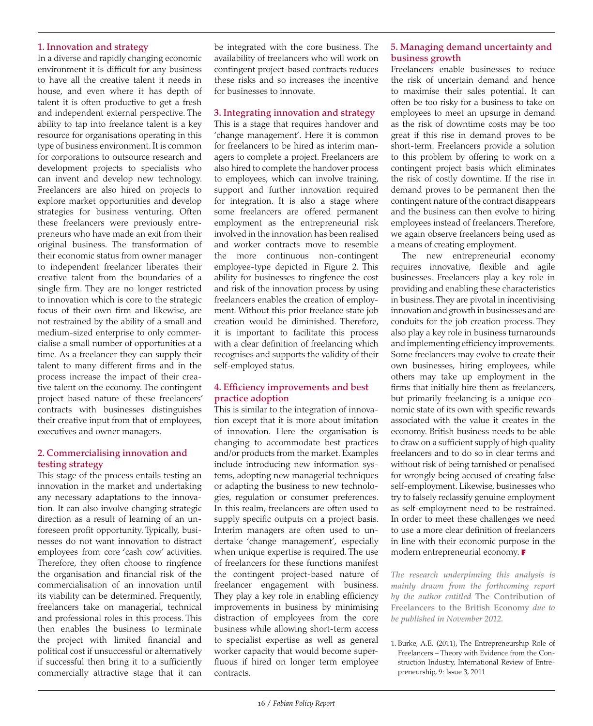### 1. Innovation and strategy

In a diverse and rapidly changing economic environment it is difficult for any business to have all the creative talent it needs in house, and even where it has depth of talent it is often productive to get a fresh and independent external perspective. The ability to tap into freelance talent is a key resource for organisations operating in this type of business environment. It is common for corporations to outsource research and development projects to specialists who can invent and develop new technology. Freelancers are also hired on projects to explore market opportunities and develop strategies for business venturing. Often these freelancers were previously entrepreneurs who have made an exit from their original business. The transformation of their economic status from owner manager to independent freelancer liberates their creative talent from the boundaries of a single firm. They are no longer restricted to innovation which is core to the strategic focus of their own firm and likewise, are not restrained by the ability of a small and medium-sized enterprise to only commercialise a small number of opportunities at a time. As a freelancer they can supply their talent to many different firms and in the process increase the impact of their creative talent on the economy. The contingent project based nature of these freelancers' contracts with businesses distinguishes their creative input from that of employees, executives and owner managers.

### 2. Commercialising innovation and testing strategy

This stage of the process entails testing an innovation in the market and undertaking any necessary adaptations to the innovation. It can also involve changing strategic direction as a result of learning of an unforeseen profit opportunity. Typically, businesses do not want innovation to distract employees from core 'cash cow' activities. Therefore, they often choose to ringfence the organisation and financial risk of the commercialisation of an innovation until its viability can be determined. Frequently, freelancers take on managerial, technical and professional roles in this process. This then enables the business to terminate the project with limited financial and political cost if unsuccessful or alternatively if successful then bring it to a sufficiently commercially attractive stage that it can

be integrated with the core business. The availability of freelancers who will work on contingent project-based contracts reduces these risks and so increases the incentive for businesses to innovate.

### 3. Integrating innovation and strategy

This is a stage that requires handover and 'change management'. Here it is common for freelancers to be hired as interim managers to complete a project. Freelancers are also hired to complete the handover process to employees, which can involve training, support and further innovation required for integration. It is also a stage where some freelancers are offered permanent employment as the entrepreneurial risk involved in the innovation has been realised and worker contracts move to resemble the more continuous non-contingent employee-type depicted in Figure 2. This ability for businesses to ringfence the cost and risk of the innovation process by using freelancers enables the creation of employment. Without this prior freelance state job creation would be diminished. Therefore, it is important to facilitate this process with a clear definition of freelancing which recognises and supports the validity of their self-employed status.

#### 4. Efficiency improvements and best practice adoption

This is similar to the integration of innovation except that it is more about imitation of innovation. Here the organisation is changing to accommodate best practices and/or products from the market. Examples include introducing new information systems, adopting new managerial techniques or adapting the business to new technologies, regulation or consumer preferences. In this realm, freelancers are often used to supply specific outputs on a project basis. Interim managers are often used to undertake 'change management', especially when unique expertise is required. The use of freelancers for these functions manifest the contingent project-based nature of freelancer engagement with business. They play a key role in enabling efficiency improvements in business by minimising distraction of employees from the core business while allowing short-term access to specialist expertise as well as general worker capacity that would become superfluous if hired on longer term employee contracts.

### 5. Managing demand uncertainty and business growth

Freelancers enable businesses to reduce the risk of uncertain demand and hence to maximise their sales potential. It can often be too risky for a business to take on employees to meet an upsurge in demand as the risk of downtime costs may be too great if this rise in demand proves to be short-term. Freelancers provide a solution to this problem by offering to work on a contingent project basis which eliminates the risk of costly downtime. If the rise in demand proves to be permanent then the contingent nature of the contract disappears and the business can then evolve to hiring employees instead of freelancers. Therefore, we again observe freelancers being used as a means of creating employment.

The new entrepreneurial economy requires innovative, flexible and agile businesses. Freelancers play a key role in providing and enabling these characteristics in business. They are pivotal in incentivising innovation and growth in businesses and are conduits for the job creation process. They also play a key role in business turnarounds and implementing efficiency improvements. Some freelancers may evolve to create their own businesses, hiring employees, while others may take up employment in the firms that initially hire them as freelancers, but primarily freelancing is a unique economic state of its own with specific rewards associated with the value it creates in the economy. British business needs to be able to draw on a sufficient supply of high quality freelancers and to do so in clear terms and without risk of being tarnished or penalised for wrongly being accused of creating false self-employment. Likewise, businesses who try to falsely reclassify genuine employment as self-employment need to be restrained. In order to meet these challenges we need to use a more clear definition of freelancers in line with their economic purpose in the modern entrepreneurial economy. **F**

*The research underpinning this analysis is mainly drawn from the forthcoming report by the author entitled* The Contribution of Freelancers to the British Economy *due to be published in November 2012.*

1. Burke, A.E. (2011), The Entrepreneurship Role of Freelancers – Theory with Evidence from the Construction Industry, International Review of Entrepreneurship, 9: Issue 3, 2011